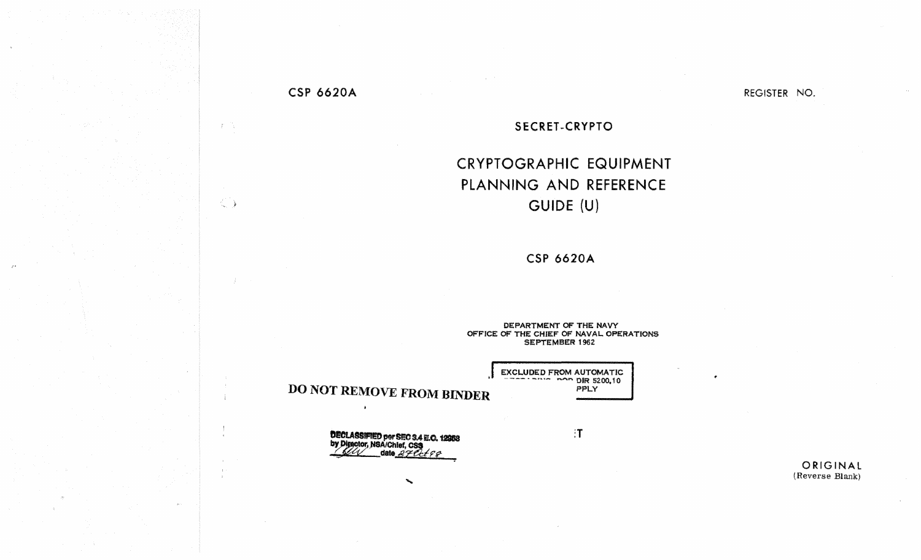### **CSP 6620A**

 $\langle T \rangle$  (  $\langle \cdot \rangle$ 

 $\langle \rangle$ 

REGISTER NO.

#### SECRET-CRYPTO

# CRYPTOGRAPHIC EQUIPMENT PLANNING AND REFERENCE GUIDE (U)

**CSP 6620A** 

DEPARTMENT OF THE NAVY OFFICE OF THE CHIEF OF NAVAL OPERATIONS **SEPTEMBER 1962** 

> EXCLUDED FROM AUTOMATIC PPLY

> > $\cdot$ T

**DECLASSIFIED per SEC 3.4 E.O. 12958**<br>by Director, NSA/Chief, CS**3**<br>MAY date 27 Cct 9 P

 $\mathcal{P}^{\mathcal{P}}$ 

**DO NOT REMOVE FROM BINDER** 

 $\overline{\phantom{a}}$ 

ORIGINAL (Reverse Blank)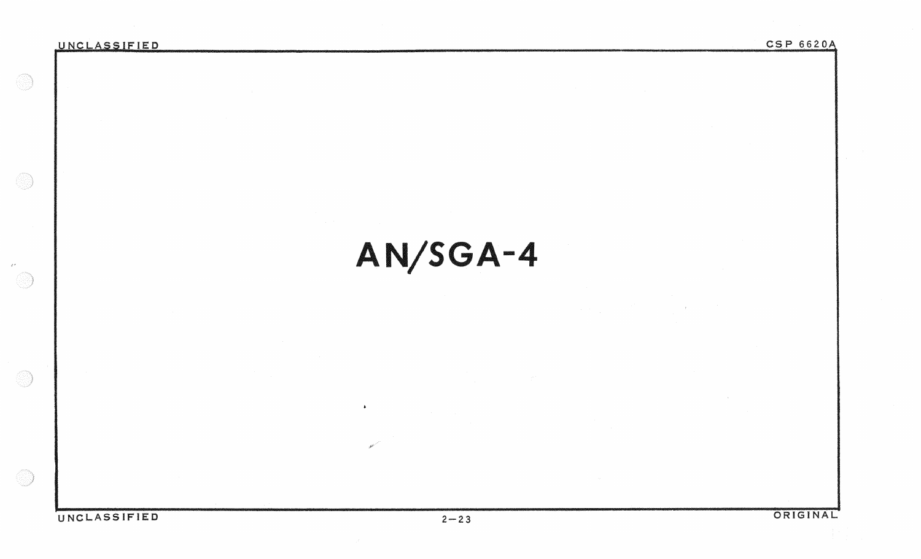$\mathcal{L}^{\mathcal{F}}$  .

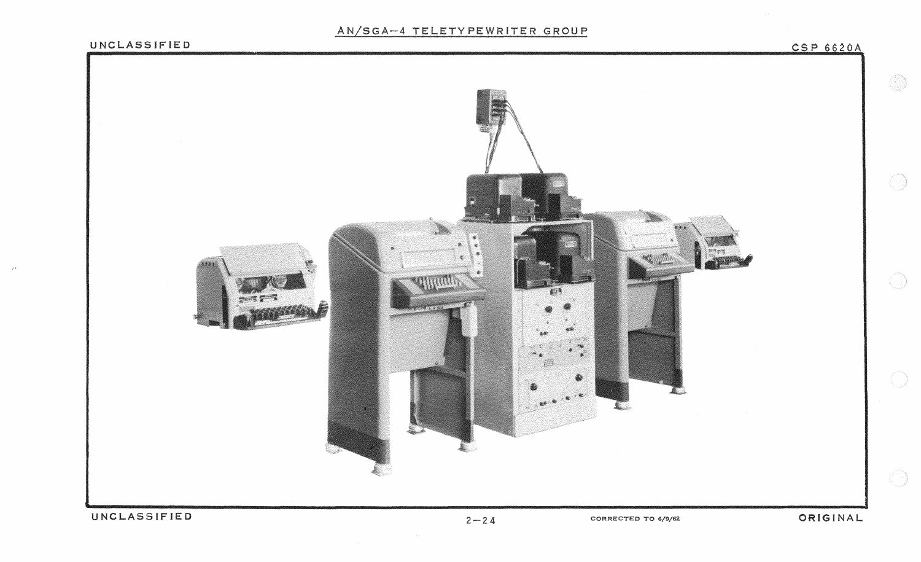# AN/SGA-4 TELETYPEWRITER GROUP

 $\mathbb{R}^{\mathbb{Z}}$ 

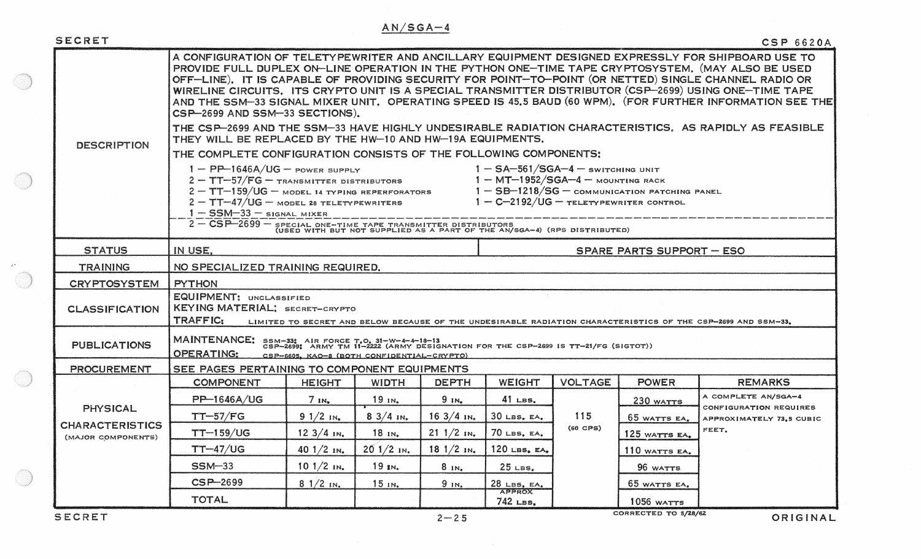# $AN/SGA-4$

| SECRET                                                          |                                                                                                                                                                                                                                                                                                                                                                                                                                                                                                                                                                                                                                                                                                   |                      |              |                       |                                                |                   |                      | CSP 6620A                                     |
|-----------------------------------------------------------------|---------------------------------------------------------------------------------------------------------------------------------------------------------------------------------------------------------------------------------------------------------------------------------------------------------------------------------------------------------------------------------------------------------------------------------------------------------------------------------------------------------------------------------------------------------------------------------------------------------------------------------------------------------------------------------------------------|----------------------|--------------|-----------------------|------------------------------------------------|-------------------|----------------------|-----------------------------------------------|
| <b>DESCRIPTION</b>                                              | A CONFIGURATION OF TELETYPEWRITER AND ANCILLARY EQUIPMENT DESIGNED EXPRESSLY FOR SHIPBOARD USE TO<br>PROVIDE FULL DUPLEX ON-LINE OPERATION IN THE PYTHON ONE-TIME TAPE CRYPTOSYSTEM, (MAY ALSO BE USED<br>OFF-LINE). IT IS CAPABLE OF PROVIDING SECURITY FOR POINT-TO-POINT (OR NETTED) SINGLE CHANNEL RADIO OR<br>WIRELINE CIRCUITS. ITS CRYPTO UNIT IS A SPECIAL TRANSMITTER DISTRIBUTOR (CSP-2699) USING ONE-TIME TAPE<br>AND THE SSM-33 SIGNAL MIXER UNIT, OPERATING SPEED IS 45.5 BAUD (60 WPM). (FOR FURTHER INFORMATION SEE THE<br>CSP-2699 AND SSM-33 SECTIONS).                                                                                                                          |                      |              |                       |                                                |                   |                      |                                               |
|                                                                 | THE CSP-2699 AND THE SSM-33 HAVE HIGHLY UNDESIRABLE RADIATION CHARACTERISTICS. AS RAPIDLY AS FEASIBLE<br>THEY WILL BE REPLACED BY THE HW-10 AND HW-19A EQUIPMENTS.                                                                                                                                                                                                                                                                                                                                                                                                                                                                                                                                |                      |              |                       |                                                |                   |                      |                                               |
|                                                                 | THE COMPLETE CONFIGURATION CONSISTS OF THE FOLLOWING COMPONENTS;                                                                                                                                                                                                                                                                                                                                                                                                                                                                                                                                                                                                                                  |                      |              |                       |                                                |                   |                      |                                               |
|                                                                 | $1 - PP-1646A/UG - power support$<br>$2 - TT-57/FG - transform 1 - MT-1952/SGA-4 - amount 1 - MT-1952/SGA-4 - amount 1 - MT-1952/SGA-4 - amount 1 - MT-1952/SGA-4 - amount 1 - MT-1952/SGA-4 - amount 1 - GM-1952/SGA-4 - amount 1 - GM-1952/SGA-4 - amount 1 - GM-1952/SGA-4 - amount 1 - GM-1952/SGA-4 - amount 1 - GM-1952/SGA-4 - amount 1 - GM-1952/SGA-4 - amount 1 - GM-1952/SGA-4 - amount 1 - GM-1952/SGA-$<br>$2 - TT-47/UG$ – model 28 Teletypewriters<br>$1 - C - 2192/UG - \tau$ eletypewriter control<br>$1 - SSM - 33 -$ signal mixer<br>2 - CSP-2699 - SPECIAL ONE-TIME TAPE TRANSMITTER DISTRIBUTORS<br>(USED WITH BUT NOT SUPPLIED AS A PART OF THE AN/SGA-4) (RPS DISTRIBUTED) |                      |              |                       |                                                |                   |                      |                                               |
| <b>STATUS</b>                                                   | IN USE.                                                                                                                                                                                                                                                                                                                                                                                                                                                                                                                                                                                                                                                                                           |                      |              |                       | <b>SPARE PARTS SUPPORT - ESO</b>               |                   |                      |                                               |
| <b>TRAINING</b>                                                 | NO SPECIALIZED TRAINING REQUIRED.                                                                                                                                                                                                                                                                                                                                                                                                                                                                                                                                                                                                                                                                 |                      |              |                       |                                                |                   |                      |                                               |
| <b>CRYPTOSYSTEM</b>                                             | <b>PYTHON</b>                                                                                                                                                                                                                                                                                                                                                                                                                                                                                                                                                                                                                                                                                     |                      |              |                       |                                                |                   |                      |                                               |
| <b>CLASSIFICATION</b>                                           | <b>EQUIPMENT: UNCLASSIFIED</b><br>KEYING MATERIAL; SECRET-CRYPTO<br>TRAFFIC:<br>LIMITED TO SECRET AND BELOW BECAUSE OF THE UNDESIRABLE RADIATION CHARACTERISTICS OF THE CSP-2699 AND SSM-33.                                                                                                                                                                                                                                                                                                                                                                                                                                                                                                      |                      |              |                       |                                                |                   |                      |                                               |
| <b>PUBLICATIONS</b>                                             | MAINTENANCE: SSM-33: AIR FORCE T.O. 31-W-4-4-18-13<br>CSP-2699: ARMY TM 11-2222 (ARMY DESIGNATION FOR THE CSP-2699 IS TT-21/FG (SIGTOT))<br><b>OPERATING:</b><br>CSP-6605, KAO-8 (BOTH CONFIDENTIAL-CRYPTO)                                                                                                                                                                                                                                                                                                                                                                                                                                                                                       |                      |              |                       |                                                |                   |                      |                                               |
| <b>PROCUREMENT</b>                                              | SEE PAGES PERTAINING TO COMPONENT EQUIPMENTS                                                                                                                                                                                                                                                                                                                                                                                                                                                                                                                                                                                                                                                      |                      |              |                       |                                                |                   |                      |                                               |
| <b>PHYSICAL</b><br><b>CHARACTERISTICS</b><br>(MAJOR COMPONENTS) | <b>COMPONENT</b>                                                                                                                                                                                                                                                                                                                                                                                                                                                                                                                                                                                                                                                                                  | <b>HEIGHT</b>        | <b>WIDTH</b> | <b>DEPTH</b>          | <b>WEIGHT</b>                                  | <b>VOLTAGE</b>    | <b>POWER</b>         | <b>REMARKS</b>                                |
|                                                                 | PP-1646A/UG                                                                                                                                                                                                                                                                                                                                                                                                                                                                                                                                                                                                                                                                                       | $7 \text{ N}$        | $19$ in.     | $9 \text{IN}_\bullet$ | $41$ LBS.                                      |                   | 230 WATTS            | A COMPLETE AN/SGA-4<br>CONFIGURATION REQUIRES |
|                                                                 | $TT-57/FG$                                                                                                                                                                                                                                                                                                                                                                                                                                                                                                                                                                                                                                                                                        | $91/2$ IN.           | $83/4$ in.   | $163/4$ in.           | $30$ LBS. EA.                                  | 115<br>$(60$ CPS) | 65 WATTS EA.         | APPROXIMATELY 73.5 CUBIC                      |
|                                                                 | $TT-159/UG$                                                                                                                                                                                                                                                                                                                                                                                                                                                                                                                                                                                                                                                                                       | $12 \frac{3}{4}$ in. | $18$ $N2$    | $211/2$ in.           | 70 LBS. EA.                                    |                   | 125 WATTS EA.        | FEET.                                         |
|                                                                 | $TT-47/UG$                                                                                                                                                                                                                                                                                                                                                                                                                                                                                                                                                                                                                                                                                        | 40 $1/2$ IN.         | $201/2$ IN.  | $181/2$ IN.           | 120 LBS. EA.                                   |                   | 110 WATTS EA.        |                                               |
|                                                                 | $SSM-33$                                                                                                                                                                                                                                                                                                                                                                                                                                                                                                                                                                                                                                                                                          | $101/2$ IN.          | 19 IN.       | 8 <sub>IN</sub>       | $25$ LBS.                                      |                   | 96 WATTS             |                                               |
|                                                                 | $CSP-2699$                                                                                                                                                                                                                                                                                                                                                                                                                                                                                                                                                                                                                                                                                        | $81/2$ in.           | $15$ IN.     | 9 <sub>IN</sub>       | $\frac{28 \text{ } \text{LBS}}{\text{APPROX}}$ |                   | 65 WATTS EA.         |                                               |
|                                                                 | <b>TOTAL</b>                                                                                                                                                                                                                                                                                                                                                                                                                                                                                                                                                                                                                                                                                      |                      |              |                       | $742$ LBS.                                     |                   | <b>1056 WATTS</b>    |                                               |
| <i>errort</i>                                                   |                                                                                                                                                                                                                                                                                                                                                                                                                                                                                                                                                                                                                                                                                                   |                      |              | 2.7 <sub>m</sub>      |                                                |                   | CORRECTED TO 5/28/62 | <b>AMIAINAI</b>                               |

SECRET

 $\mathcal{F}^{\mathbf{y}}$  . 

 $\sim 10^{-1}$ 

ORIGINAL